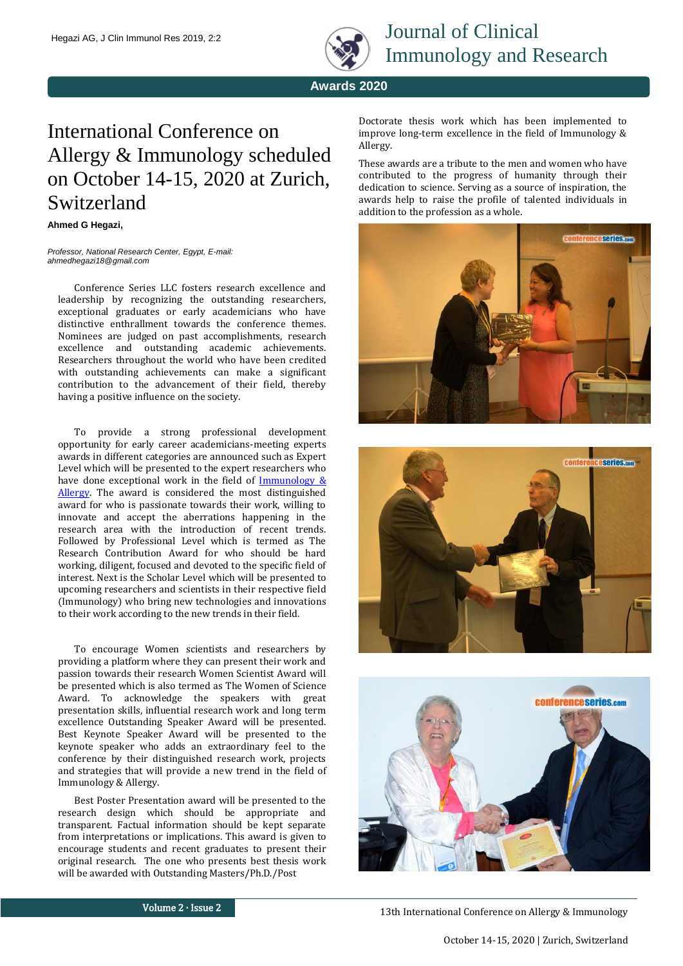

**Awards 2020**

## International Conference on Allergy & Immunology scheduled on October 14-15, 2020 at Zurich, Switzerland

## **Ahmed G Hegazi,**

*Professor, National Research Center, Egypt, E-mail: ahmedhegazi18@gmail.com*

Conference Series LLC fosters research excellence and leadership by recognizing the outstanding researchers, exceptional graduates or early academicians who have distinctive enthrallment towards the conference themes. Nominees are judged on past accomplishments, research excellence and outstanding academic achievements. Researchers throughout the world who have been credited with outstanding achievements can make a significant contribution to the advancement of their field, thereby having a positive influence on the society.

To provide a strong professional development opportunity for early career academicians-meeting experts awards in different categories are announced such as Expert Level which will be presented to the expert researchers who have done exceptional work in the field of  $\frac{\text{Immunology } \& }{}$ [Allergy.](https://immunologycongress.immunologyconferences.org/) The award is considered the most distinguished award for who is passionate towards their work, willing to innovate and accept the aberrations happening in the research area with the introduction of recent trends. Followed by Professional Level which is termed as The Research Contribution Award for who should be hard working, diligent, focused and devoted to the specific field of interest. Next is the Scholar Level which will be presented to upcoming researchers and scientists in their respective field (Immunology) who bring new technologies and innovations to their work according to the new trends in their field.

To encourage Women scientists and researchers by providing a platform where they can present their work and passion towards their research Women Scientist Award will be presented which is also termed as The Women of Science Award. To acknowledge the speakers with great presentation skills, influential research work and long term excellence Outstanding Speaker Award will be presented. Best Keynote Speaker Award will be presented to the keynote speaker who adds an extraordinary feel to the conference by their distinguished research work, projects and strategies that will provide a new trend in the field of Immunology & Allergy.

Best Poster Presentation award will be presented to the research design which should be appropriate and transparent. Factual information should be kept separate from interpretations or implications. This award is given to encourage students and recent graduates to present their original research. The one who presents best thesis work will be awarded with Outstanding Masters/Ph.D./Post

Doctorate thesis work which has been implemented to improve long-term excellence in the field of Immunology & Allergy.

These awards are a tribute to the men and women who have contributed to the progress of humanity through their dedication to science. Serving as a source of inspiration, the awards help to raise the profile of talented individuals in addition to the profession as a whole.







Volume 2 ∙ Issue 2

13th International Conference on Allergy & Immunology